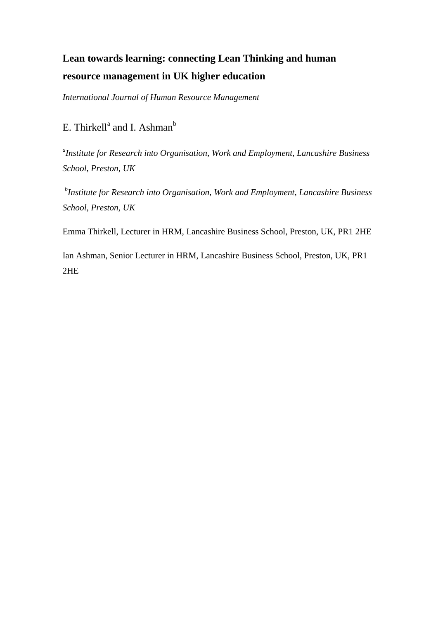# **Lean towards learning: connecting Lean Thinking and human resource management in UK higher education**

*International Journal of Human Resource Management*

E. Thirkell<sup>a</sup> and I. Ashman<sup>b</sup>

*a Institute for Research into Organisation, Work and Employment, Lancashire Business School, Preston, UK* 

*b Institute for Research into Organisation, Work and Employment, Lancashire Business School, Preston, UK*

Emma Thirkell, Lecturer in HRM, Lancashire Business School, Preston, UK, PR1 2HE

Ian Ashman, Senior Lecturer in HRM, Lancashire Business School, Preston, UK, PR1 2HE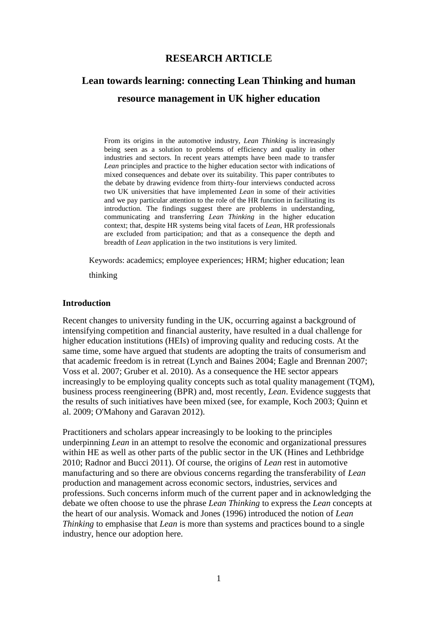## **RESEARCH ARTICLE**

## **Lean towards learning: connecting Lean Thinking and human resource management in UK higher education**

From its origins in the automotive industry, *Lean Thinking* is increasingly being seen as a solution to problems of efficiency and quality in other industries and sectors. In recent years attempts have been made to transfer *Lean* principles and practice to the higher education sector with indications of mixed consequences and debate over its suitability. This paper contributes to the debate by drawing evidence from thirty-four interviews conducted across two UK universities that have implemented *Lean* in some of their activities and we pay particular attention to the role of the HR function in facilitating its introduction. The findings suggest there are problems in understanding, communicating and transferring *Lean Thinking* in the higher education context; that, despite HR systems being vital facets of *Lean*, HR professionals are excluded from participation; and that as a consequence the depth and breadth of *Lean* application in the two institutions is very limited.

Keywords: academics; employee experiences; HRM; higher education; lean

thinking

#### **Introduction**

Recent changes to university funding in the UK, occurring against a background of intensifying competition and financial austerity, have resulted in a dual challenge for higher education institutions (HEIs) of improving quality and reducing costs. At the same time, some have argued that students are adopting the traits of consumerism and that academic freedom is in retreat (Lynch and Baines 2004; Eagle and Brennan 2007; Voss et al. 2007; Gruber et al. 2010). As a consequence the HE sector appears increasingly to be employing quality concepts such as total quality management (TQM), business process reengineering (BPR) and, most recently, *Lean*. Evidence suggests that the results of such initiatives have been mixed (see, for example, Koch 2003; Quinn et al. 2009; O'Mahony and Garavan 2012).

Practitioners and scholars appear increasingly to be looking to the principles underpinning *Lean* in an attempt to resolve the economic and organizational pressures within HE as well as other parts of the public sector in the UK (Hines and Lethbridge 2010; Radnor and Bucci 2011). Of course, the origins of *Lean* rest in automotive manufacturing and so there are obvious concerns regarding the transferability of *Lean*  production and management across economic sectors, industries, services and professions. Such concerns inform much of the current paper and in acknowledging the debate we often choose to use the phrase *Lean Thinking* to express the *Lean* concepts at the heart of our analysis. Womack and Jones (1996) introduced the notion of *Lean Thinking* to emphasise that *Lean* is more than systems and practices bound to a single industry, hence our adoption here.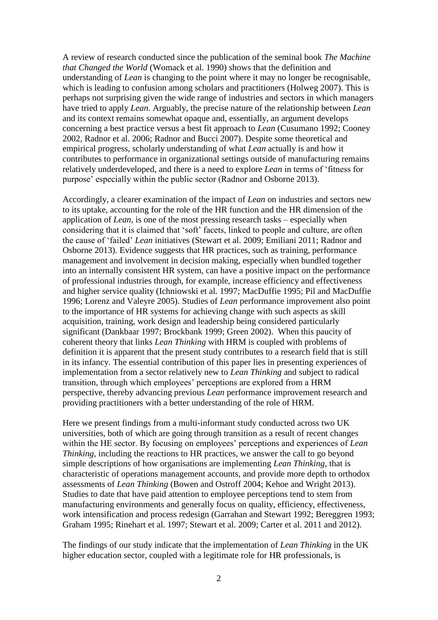A review of research conducted since the publication of the seminal book *The Machine that Changed the World* (Womack et al. 1990) shows that the definition and understanding of *Lean* is changing to the point where it may no longer be recognisable, which is leading to confusion among scholars and practitioners (Holweg 2007). This is perhaps not surprising given the wide range of industries and sectors in which managers have tried to apply *Lean*. Arguably, the precise nature of the relationship between *Lean* and its context remains somewhat opaque and, essentially, an argument develops concerning a best practice versus a best fit approach to *Lean* (Cusumano 1992; Cooney 2002, Radnor et al. 2006; Radnor and Bucci 2007). Despite some theoretical and empirical progress, scholarly understanding of what *Lean* actually is and how it contributes to performance in organizational settings outside of manufacturing remains relatively underdeveloped, and there is a need to explore *Lean* in terms of 'fitness for purpose' especially within the public sector (Radnor and Osborne 2013).

Accordingly, a clearer examination of the impact of *Lean* on industries and sectors new to its uptake, accounting for the role of the HR function and the HR dimension of the application of *Lean*, is one of the most pressing research tasks – especially when considering that it is claimed that 'soft' facets, linked to people and culture, are often the cause of ‗failed' *Lean* initiatives (Stewart et al. 2009; Emiliani 2011; Radnor and Osborne 2013). Evidence suggests that HR practices, such as training, performance management and involvement in decision making, especially when bundled together into an internally consistent HR system, can have a positive impact on the performance of professional industries through, for example, increase efficiency and effectiveness and higher service quality (Ichniowski et al*.* 1997; MacDuffie 1995; Pil and MacDuffie 1996; Lorenz and Valeyre 2005). Studies of *Lean* performance improvement also point to the importance of HR systems for achieving change with such aspects as skill acquisition, training, work design and leadership being considered particularly significant (Dankbaar 1997; Brockbank 1999; Green 2002). When this paucity of coherent theory that links *Lean Thinking* with HRM is coupled with problems of definition it is apparent that the present study contributes to a research field that is still in its infancy. The essential contribution of this paper lies in presenting experiences of implementation from a sector relatively new to *Lean Thinking* and subject to radical transition, through which employees' perceptions are explored from a HRM perspective, thereby advancing previous *Lean* performance improvement research and providing practitioners with a better understanding of the role of HRM.

Here we present findings from a multi-informant study conducted across two UK universities, both of which are going through transition as a result of recent changes within the HE sector. By focusing on employees' perceptions and experiences of *Lean Thinking*, including the reactions to HR practices, we answer the call to go beyond simple descriptions of how organisations are implementing *Lean Thinking*, that is characteristic of operations management accounts, and provide more depth to orthodox assessments of *Lean Thinking* (Bowen and Ostroff 2004; Kehoe and Wright 2013). Studies to date that have paid attention to employee perceptions tend to stem from manufacturing environments and generally focus on quality, efficiency, effectiveness, work intensification and process redesign (Garrahan and Stewart 1992; Bereggren 1993; Graham 1995; Rinehart et al. 1997; Stewart et al. 2009; Carter et al. 2011 and 2012).

The findings of our study indicate that the implementation of *Lean Thinking* in the UK higher education sector, coupled with a legitimate role for HR professionals, is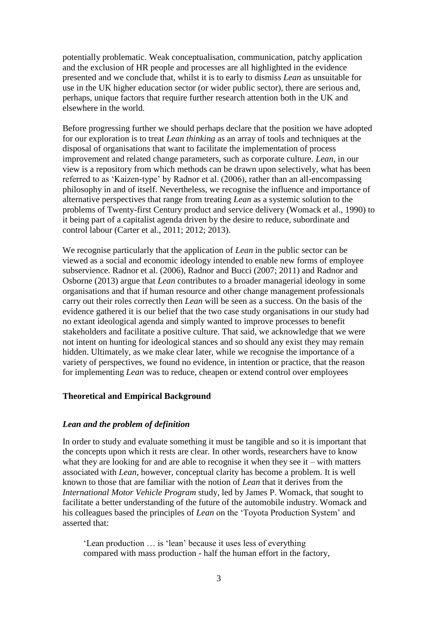potentially problematic. Weak conceptualisation, communication, patchy application and the exclusion of HR people and processes are all highlighted in the evidence presented and we conclude that, whilst it is to early to dismiss *Lean* as unsuitable for use in the UK higher education sector (or wider public sector), there are serious and, perhaps, unique factors that require further research attention both in the UK and elsewhere in the world.

Before progressing further we should perhaps declare that the position we have adopted for our exploration is to treat *Lean thinking* as an array of tools and techniques at the disposal of organisations that want to facilitate the implementation of process improvement and related change parameters, such as corporate culture. *Lean*, in our view is a repository from which methods can be drawn upon selectively, what has been referred to as 'Kaizen-type' by Radnor et al. (2006), rather than an all-encompassing philosophy in and of itself. Nevertheless, we recognise the influence and importance of alternative perspectives that range from treating *Lean* as a systemic solution to the problems of Twenty-first Century product and service delivery (Womack et al., 1990) to it being part of a capitalist agenda driven by the desire to reduce, subordinate and control labour (Carter et al., 2011; 2012; 2013).

We recognise particularly that the application of *Lean* in the public sector can be viewed as a social and economic ideology intended to enable new forms of employee subservience. Radnor et al. (2006), Radnor and Bucci (2007; 2011) and Radnor and Osborne (2013) argue that *Lean* contributes to a broader managerial ideology in some organisations and that if human resource and other change management professionals carry out their roles correctly then *Lean* will be seen as a success. On the basis of the evidence gathered it is our belief that the two case study organisations in our study had no extant ideological agenda and simply wanted to improve processes to benefit stakeholders and facilitate a positive culture. That said, we acknowledge that we were not intent on hunting for ideological stances and so should any exist they may remain hidden. Ultimately, as we make clear later, while we recognise the importance of a variety of perspectives, we found no evidence, in intention or practice, that the reason for implementing *Lean* was to reduce, cheapen or extend control over employees

## **Theoretical and Empirical Background**

#### *Lean and the problem of definition*

In order to study and evaluate something it must be tangible and so it is important that the concepts upon which it rests are clear. In other words, researchers have to know what they are looking for and are able to recognise it when they see it – with matters associated with *Lean*, however, conceptual clarity has become a problem. It is well known to those that are familiar with the notion of *Lean* that it derives from the *International Motor Vehicle Program* study, led by James P. Womack, that sought to facilitate a better understanding of the future of the automobile industry. Womack and his colleagues based the principles of *Lean* on the 'Toyota Production System' and asserted that:

‗Lean production … is ‗lean' because it uses less of everything compared with mass production - half the human effort in the factory,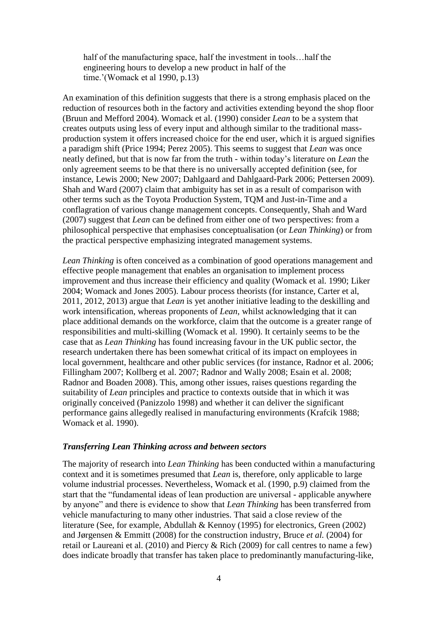half of the manufacturing space, half the investment in tools…half the engineering hours to develop a new product in half of the time.'(Womack et al 1990, p.13)

An examination of this definition suggests that there is a strong emphasis placed on the reduction of resources both in the factory and activities extending beyond the shop floor (Bruun and Mefford 2004). Womack et al. (1990) consider *Lean* to be a system that creates outputs using less of every input and although similar to the traditional massproduction system it offers increased choice for the end user, which it is argued signifies a paradigm shift (Price 1994; Perez 2005). This seems to suggest that *Lean* was once neatly defined, but that is now far from the truth - within today's literature on *Lean* the only agreement seems to be that there is no universally accepted definition (see, for instance, Lewis 2000; New 2007; Dahlgaard and Dahlgaard-Park 2006; Pettersen 2009). Shah and Ward (2007) claim that ambiguity has set in as a result of comparison with other terms such as the Toyota Production System, TQM and Just-in-Time and a conflagration of various change management concepts. Consequently, Shah and Ward (2007) suggest that *Lean* can be defined from either one of two perspectives: from a philosophical perspective that emphasises conceptualisation (or *Lean Thinking*) or from the practical perspective emphasizing integrated management systems.

*Lean Thinking* is often conceived as a combination of good operations management and effective people management that enables an organisation to implement process improvement and thus increase their efficiency and quality (Womack et al. 1990; Liker 2004; Womack and Jones 2005). Labour process theorists (for instance, Carter et al, 2011, 2012, 2013) argue that *Lean* is yet another initiative leading to the deskilling and work intensification, whereas proponents of *Lean*, whilst acknowledging that it can place additional demands on the workforce, claim that the outcome is a greater range of responsibilities and multi-skilling (Womack et al. 1990). It certainly seems to be the case that as *Lean Thinking* has found increasing favour in the UK public sector, the research undertaken there has been somewhat critical of its impact on employees in local government, healthcare and other public services (for instance, Radnor et al. 2006; Fillingham 2007; Kollberg et al. 2007; Radnor and Wally 2008; Esain et al. 2008; Radnor and Boaden 2008). This, among other issues, raises questions regarding the suitability of *Lean* principles and practice to contexts outside that in which it was originally conceived (Panizzolo 1998) and whether it can deliver the significant performance gains allegedly realised in manufacturing environments (Krafcik 1988; Womack et al. 1990).

#### *Transferring Lean Thinking across and between sectors*

The majority of research into *Lean Thinking* has been conducted within a manufacturing context and it is sometimes presumed that *Lean* is, therefore, only applicable to large volume industrial processes. Nevertheless, Womack et al. (1990, p.9) claimed from the start that the "fundamental ideas of lean production are universal - applicable anywhere by anyone" and there is evidence to show that *Lean Thinking* has been transferred from vehicle manufacturing to many other industries. That said a close review of the literature (See, for example, Abdullah & Kennoy (1995) for electronics, Green (2002) and Jørgensen & Emmitt (2008) for the construction industry, Bruce *et al.* (2004) for retail or Laureani et al. (2010) and Piercy & Rich (2009) for call centres to name a few) does indicate broadly that transfer has taken place to predominantly manufacturing-like,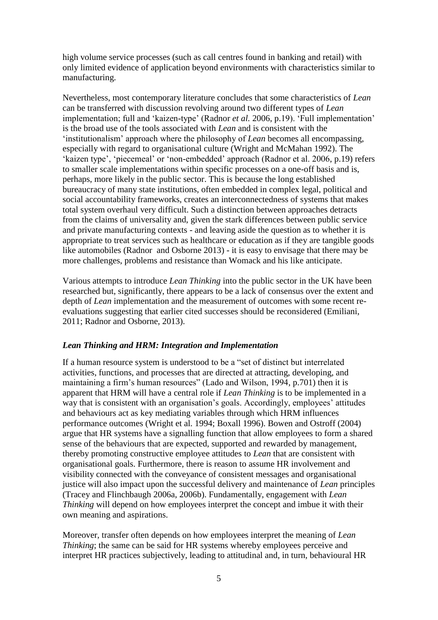high volume service processes (such as call centres found in banking and retail) with only limited evidence of application beyond environments with characteristics similar to manufacturing.

Nevertheless, most contemporary literature concludes that some characteristics of *Lean* can be transferred with discussion revolving around two different types of *Lean* implementation; full and 'kaizen-type' (Radnor *et al.* 2006, p.19). 'Full implementation' is the broad use of the tools associated with *Lean* and is consistent with the ‗institutionalism' approach where the philosophy of *Lean* becomes all encompassing, especially with regard to organisational culture (Wright and McMahan 1992). The ‗kaizen type', ‗piecemeal' or ‗non-embedded' approach (Radnor et al. 2006, p.19) refers to smaller scale implementations within specific processes on a one-off basis and is, perhaps, more likely in the public sector. This is because the long established bureaucracy of many state institutions, often embedded in complex legal, political and social accountability frameworks, creates an interconnectedness of systems that makes total system overhaul very difficult. Such a distinction between approaches detracts from the claims of universality and, given the stark differences between public service and private manufacturing contexts - and leaving aside the question as to whether it is appropriate to treat services such as healthcare or education as if they are tangible goods like automobiles (Radnor and Osborne 2013) - it is easy to envisage that there may be more challenges, problems and resistance than Womack and his like anticipate.

Various attempts to introduce *Lean Thinking* into the public sector in the UK have been researched but, significantly, there appears to be a lack of consensus over the extent and depth of *Lean* implementation and the measurement of outcomes with some recent reevaluations suggesting that earlier cited successes should be reconsidered (Emiliani, 2011; Radnor and Osborne, 2013).

## *Lean Thinking and HRM: Integration and Implementation*

If a human resource system is understood to be a "set of distinct but interrelated activities, functions, and processes that are directed at attracting, developing, and maintaining a firm's human resources" (Lado and Wilson, 1994, p.701) then it is apparent that HRM will have a central role if *Lean Thinking* is to be implemented in a way that is consistent with an organisation's goals. Accordingly, employees' attitudes and behaviours act as key mediating variables through which HRM influences performance outcomes (Wright et al. 1994; Boxall 1996). Bowen and Ostroff (2004) argue that HR systems have a signalling function that allow employees to form a shared sense of the behaviours that are expected, supported and rewarded by management, thereby promoting constructive employee attitudes to *Lean* that are consistent with organisational goals. Furthermore, there is reason to assume HR involvement and visibility connected with the conveyance of consistent messages and organisational justice will also impact upon the successful delivery and maintenance of *Lean* principles (Tracey and Flinchbaugh 2006a, 2006b). Fundamentally, engagement with *Lean Thinking* will depend on how employees interpret the concept and imbue it with their own meaning and aspirations.

Moreover, transfer often depends on how employees interpret the meaning of *Lean Thinking*; the same can be said for HR systems whereby employees perceive and interpret HR practices subjectively, leading to attitudinal and, in turn, behavioural HR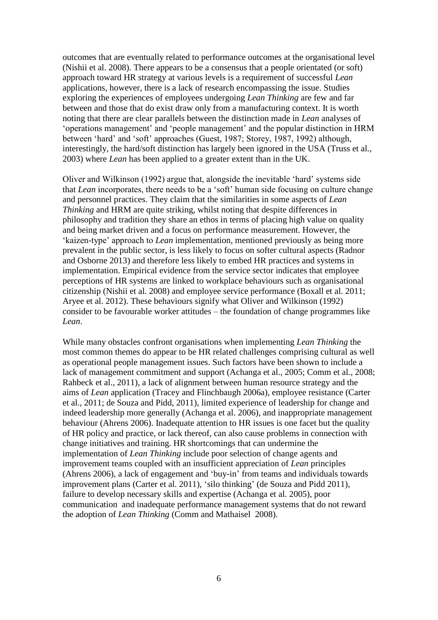outcomes that are eventually related to performance outcomes at the organisational level (Nishii et al. 2008). There appears to be a consensus that a people orientated (or soft) approach toward HR strategy at various levels is a requirement of successful *Lean* applications, however, there is a lack of research encompassing the issue. Studies exploring the experiences of employees undergoing *Lean Thinking* are few and far between and those that do exist draw only from a manufacturing context. It is worth noting that there are clear parallels between the distinction made in *Lean* analyses of 'operations management' and 'people management' and the popular distinction in HRM between 'hard' and 'soft' approaches (Guest, 1987; Storey, 1987, 1992) although, interestingly, the hard/soft distinction has largely been ignored in the USA (Truss et al., 2003) where *Lean* has been applied to a greater extent than in the UK.

Oliver and Wilkinson (1992) argue that, alongside the inevitable ‗hard' systems side that *Lean* incorporates, there needs to be a 'soft' human side focusing on culture change and personnel practices. They claim that the similarities in some aspects of *Lean Thinking* and HRM are quite striking, whilst noting that despite differences in philosophy and tradition they share an ethos in terms of placing high value on quality and being market driven and a focus on performance measurement. However, the ‗kaizen-type' approach to *Lean* implementation, mentioned previously as being more prevalent in the public sector, is less likely to focus on softer cultural aspects (Radnor and Osborne 2013) and therefore less likely to embed HR practices and systems in implementation. Empirical evidence from the service sector indicates that employee perceptions of HR systems are linked to workplace behaviours such as organisational citizenship (Nishii et al. 2008) and employee service performance (Boxall et al. 2011; Aryee et al. 2012). These behaviours signify what Oliver and Wilkinson (1992) consider to be favourable worker attitudes – the foundation of change programmes like *Lean*.

While many obstacles confront organisations when implementing *Lean Thinking* the most common themes do appear to be HR related challenges comprising cultural as well as operational people management issues. Such factors have been shown to include a lack of management commitment and support (Achanga et al., 2005; Comm et al*.,* 2008; Rahbeck et al., 2011), a lack of alignment between human resource strategy and the aims of *Lean* application (Tracey and Flinchbaugh 2006a), employee resistance (Carter et al., 2011; de Souza and Pidd, 2011), limited experience of leadership for change and indeed leadership more generally (Achanga et al. 2006), and inappropriate management behaviour (Ahrens 2006). Inadequate attention to HR issues is one facet but the quality of HR policy and practice, or lack thereof, can also cause problems in connection with change initiatives and training. HR shortcomings that can undermine the implementation of *Lean Thinking* include poor selection of change agents and improvement teams coupled with an insufficient appreciation of *Lean* principles (Ahrens 2006), a lack of engagement and 'buy-in' from teams and individuals towards improvement plans (Carter et al. 2011), 'silo thinking' (de Souza and Pidd 2011), failure to develop necessary skills and expertise (Achanga et al. 2005), poor communication and inadequate performance management systems that do not reward the adoption of *Lean Thinking* (Comm and Mathaisel 2008).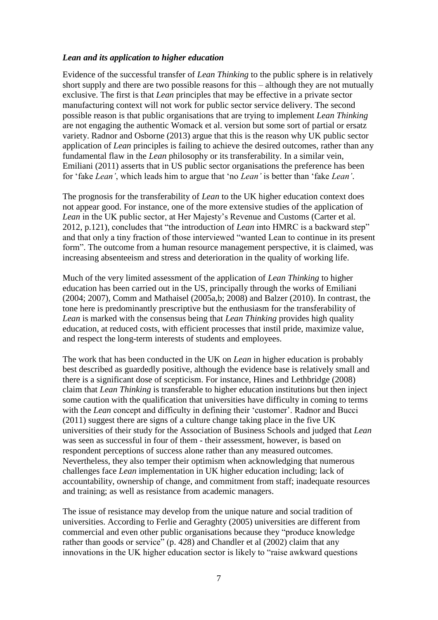#### *Lean and its application to higher education*

Evidence of the successful transfer of *Lean Thinking* to the public sphere is in relatively short supply and there are two possible reasons for this – although they are not mutually exclusive. The first is that *Lean* principles that may be effective in a private sector manufacturing context will not work for public sector service delivery. The second possible reason is that public organisations that are trying to implement *Lean Thinking*  are not engaging the authentic Womack et al. version but some sort of partial or ersatz variety. Radnor and Osborne (2013) argue that this is the reason why UK public sector application of *Lean* principles is failing to achieve the desired outcomes, rather than any fundamental flaw in the *Lean* philosophy or its transferability. In a similar vein, Emiliani (2011) asserts that in US public sector organisations the preference has been for ‗fake *Lean'*, which leads him to argue that ‗no *Lean'* is better than ‗fake *Lean'*.

The prognosis for the transferability of *Lean* to the UK higher education context does not appear good. For instance, one of the more extensive studies of the application of Lean in the UK public sector, at Her Majesty's Revenue and Customs (Carter et al. 2012, p.121), concludes that "the introduction of *Lean* into HMRC is a backward step" and that only a tiny fraction of those interviewed "wanted Lean to continue in its present form". The outcome from a human resource management perspective, it is claimed, was increasing absenteeism and stress and deterioration in the quality of working life.

Much of the very limited assessment of the application of *Lean Thinking* to higher education has been carried out in the US, principally through the works of Emiliani (2004; 2007), Comm and Mathaisel (2005a,b; 2008) and Balzer (2010). In contrast, the tone here is predominantly prescriptive but the enthusiasm for the transferability of *Lean* is marked with the consensus being that *Lean Thinking* provides high quality education, at reduced costs, with efficient processes that instil pride, maximize value, and respect the long-term interests of students and employees.

The work that has been conducted in the UK on *Lean* in higher education is probably best described as guardedly positive, although the evidence base is relatively small and there is a significant dose of scepticism. For instance, Hines and Lethbridge (2008) claim that *Lean Thinking* is transferable to higher education institutions but then inject some caution with the qualification that universities have difficulty in coming to terms with the *Lean* concept and difficulty in defining their 'customer'. Radnor and Bucci (2011) suggest there are signs of a culture change taking place in the five UK universities of their study for the Association of Business Schools and judged that *Lean*  was seen as successful in four of them - their assessment, however, is based on respondent perceptions of success alone rather than any measured outcomes. Nevertheless, they also temper their optimism when acknowledging that numerous challenges face *Lean* implementation in UK higher education including; lack of accountability, ownership of change, and commitment from staff; inadequate resources and training; as well as resistance from academic managers.

The issue of resistance may develop from the unique nature and social tradition of universities. According to Ferlie and Geraghty (2005) universities are different from commercial and even other public organisations because they "produce knowledge rather than goods or service" (p. 428) and Chandler et al (2002) claim that any innovations in the UK higher education sector is likely to "raise awkward questions"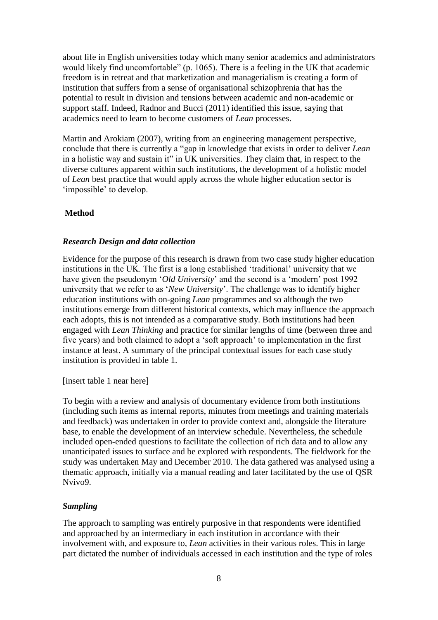about life in English universities today which many senior academics and administrators would likely find uncomfortable" (p. 1065). There is a feeling in the UK that academic freedom is in retreat and that marketization and managerialism is creating a form of institution that suffers from a sense of organisational schizophrenia that has the potential to result in division and tensions between academic and non-academic or support staff. Indeed, Radnor and Bucci (2011) identified this issue, saying that academics need to learn to become customers of *Lean* processes.

Martin and Arokiam (2007), writing from an engineering management perspective, conclude that there is currently a "gap in knowledge that exists in order to deliver *Lean* in a holistic way and sustain it" in UK universities. They claim that, in respect to the diverse cultures apparent within such institutions, the development of a holistic model of *Lean* best practice that would apply across the whole higher education sector is 'impossible' to develop.

## **Method**

## *Research Design and data collection*

Evidence for the purpose of this research is drawn from two case study higher education institutions in the UK. The first is a long established 'traditional' university that we have given the pseudonym '*Old University*' and the second is a 'modern' post 1992 university that we refer to as *'New University'*. The challenge was to identify higher education institutions with on-going *Lean* programmes and so although the two institutions emerge from different historical contexts, which may influence the approach each adopts, this is not intended as a comparative study. Both institutions had been engaged with *Lean Thinking* and practice for similar lengths of time (between three and five years) and both claimed to adopt a 'soft approach' to implementation in the first instance at least. A summary of the principal contextual issues for each case study institution is provided in table 1.

[insert table 1 near here]

To begin with a review and analysis of documentary evidence from both institutions (including such items as internal reports, minutes from meetings and training materials and feedback) was undertaken in order to provide context and, alongside the literature base, to enable the development of an interview schedule. Nevertheless, the schedule included open-ended questions to facilitate the collection of rich data and to allow any unanticipated issues to surface and be explored with respondents. The fieldwork for the study was undertaken May and December 2010. The data gathered was analysed using a thematic approach, initially via a manual reading and later facilitated by the use of QSR Nvivo9.

## *Sampling*

The approach to sampling was entirely purposive in that respondents were identified and approached by an intermediary in each institution in accordance with their involvement with, and exposure to, *Lean* activities in their various roles. This in large part dictated the number of individuals accessed in each institution and the type of roles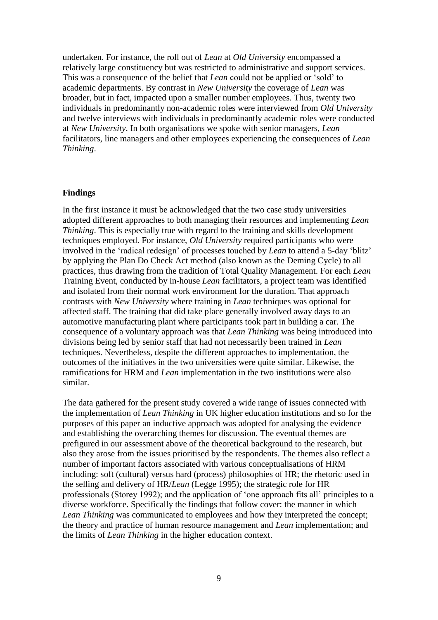undertaken. For instance, the roll out of *Lean* at *Old University* encompassed a relatively large constituency but was restricted to administrative and support services. This was a consequence of the belief that *Lean* could not be applied or 'sold' to academic departments. By contrast in *New University* the coverage of *Lean* was broader, but in fact, impacted upon a smaller number employees. Thus, twenty two individuals in predominantly non-academic roles were interviewed from *Old University* and twelve interviews with individuals in predominantly academic roles were conducted at *New University*. In both organisations we spoke with senior managers, *Lean* facilitators, line managers and other employees experiencing the consequences of *Lean Thinking*.

#### **Findings**

In the first instance it must be acknowledged that the two case study universities adopted different approaches to both managing their resources and implementing *Lean Thinking*. This is especially true with regard to the training and skills development techniques employed. For instance, *Old University* required participants who were involved in the 'radical redesign' of processes touched by *Lean* to attend a 5-day 'blitz' by applying the Plan Do Check Act method (also known as the Deming Cycle) to all practices, thus drawing from the tradition of Total Quality Management. For each *Lean*  Training Event, conducted by in-house *Lean* facilitators, a project team was identified and isolated from their normal work environment for the duration. That approach contrasts with *New University* where training in *Lean* techniques was optional for affected staff. The training that did take place generally involved away days to an automotive manufacturing plant where participants took part in building a car. The consequence of a voluntary approach was that *Lean Thinking* was being introduced into divisions being led by senior staff that had not necessarily been trained in *Lean*  techniques. Nevertheless, despite the different approaches to implementation, the outcomes of the initiatives in the two universities were quite similar. Likewise, the ramifications for HRM and *Lean* implementation in the two institutions were also similar.

The data gathered for the present study covered a wide range of issues connected with the implementation of *Lean Thinking* in UK higher education institutions and so for the purposes of this paper an inductive approach was adopted for analysing the evidence and establishing the overarching themes for discussion. The eventual themes are prefigured in our assessment above of the theoretical background to the research, but also they arose from the issues prioritised by the respondents. The themes also reflect a number of important factors associated with various conceptualisations of HRM including: soft (cultural) versus hard (process) philosophies of HR; the rhetoric used in the selling and delivery of HR/*Lean* (Legge 1995); the strategic role for HR professionals (Storey 1992); and the application of 'one approach fits all' principles to a diverse workforce. Specifically the findings that follow cover: the manner in which *Lean Thinking* was communicated to employees and how they interpreted the concept; the theory and practice of human resource management and *Lean* implementation; and the limits of *Lean Thinking* in the higher education context.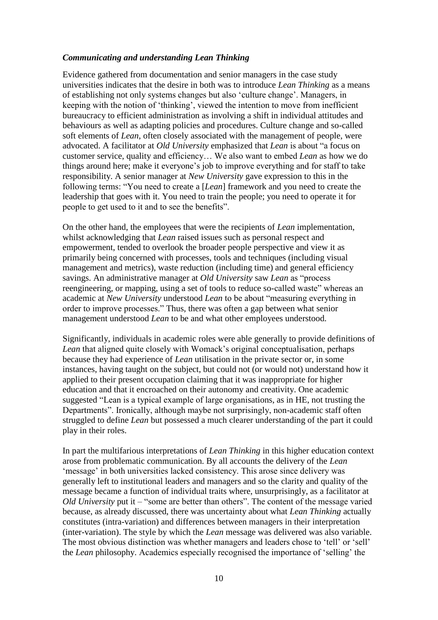## *Communicating and understanding Lean Thinking*

Evidence gathered from documentation and senior managers in the case study universities indicates that the desire in both was to introduce *Lean Thinking* as a means of establishing not only systems changes but also ‗culture change'. Managers, in keeping with the notion of 'thinking', viewed the intention to move from inefficient bureaucracy to efficient administration as involving a shift in individual attitudes and behaviours as well as adapting policies and procedures. Culture change and so-called soft elements of *Lean*, often closely associated with the management of people, were advocated. A facilitator at *Old University* emphasized that *Lean* is about "a focus on customer service, quality and efficiency… We also want to embed *Lean* as how we do things around here; make it everyone's job to improve everything and for staff to take responsibility. A senior manager at *New University* gave expression to this in the following terms: "You need to create a [*Lean*] framework and you need to create the leadership that goes with it. You need to train the people; you need to operate it for people to get used to it and to see the benefits".

On the other hand, the employees that were the recipients of *Lean* implementation, whilst acknowledging that *Lean* raised issues such as personal respect and empowerment, tended to overlook the broader people perspective and view it as primarily being concerned with processes, tools and techniques (including visual management and metrics), waste reduction (including time) and general efficiency savings. An administrative manager at *Old University* saw *Lean* as "process reengineering, or mapping, using a set of tools to reduce so-called waste" whereas an academic at *New University* understood *Lean* to be about "measuring everything in order to improve processes." Thus, there was often a gap between what senior management understood *Lean* to be and what other employees understood.

Significantly, individuals in academic roles were able generally to provide definitions of *Lean* that aligned quite closely with Womack's original conceptualisation, perhaps because they had experience of *Lean* utilisation in the private sector or, in some instances, having taught on the subject, but could not (or would not) understand how it applied to their present occupation claiming that it was inappropriate for higher education and that it encroached on their autonomy and creativity. One academic suggested "Lean is a typical example of large organisations, as in HE, not trusting the Departments". Ironically, although maybe not surprisingly, non-academic staff often struggled to define *Lean* but possessed a much clearer understanding of the part it could play in their roles.

In part the multifarious interpretations of *Lean Thinking* in this higher education context arose from problematic communication. By all accounts the delivery of the *Lean*  ‗message' in both universities lacked consistency. This arose since delivery was generally left to institutional leaders and managers and so the clarity and quality of the message became a function of individual traits where, unsurprisingly, as a facilitator at *Old University* put it – "some are better than others". The content of the message varied because, as already discussed, there was uncertainty about what *Lean Thinking* actually constitutes (intra-variation) and differences between managers in their interpretation (inter-variation). The style by which the *Lean* message was delivered was also variable. The most obvious distinction was whether managers and leaders chose to 'tell' or 'sell' the *Lean* philosophy. Academics especially recognised the importance of 'selling' the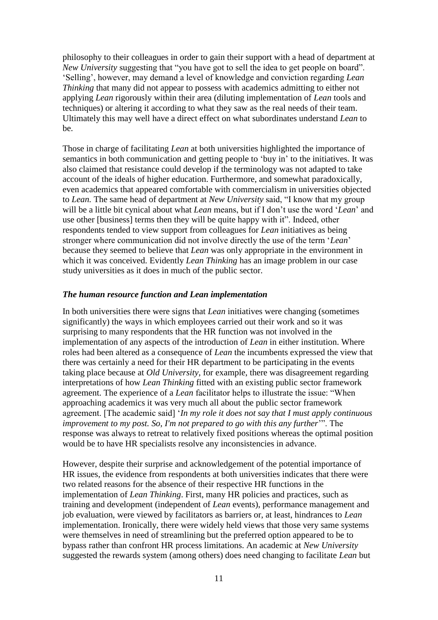philosophy to their colleagues in order to gain their support with a head of department at *New University* suggesting that "you have got to sell the idea to get people on board". ‗Selling', however, may demand a level of knowledge and conviction regarding *Lean Thinking* that many did not appear to possess with academics admitting to either not applying *Lean* rigorously within their area (diluting implementation of *Lean* tools and techniques) or altering it according to what they saw as the real needs of their team. Ultimately this may well have a direct effect on what subordinates understand *Lean* to be.

Those in charge of facilitating *Lean* at both universities highlighted the importance of semantics in both communication and getting people to 'buy in' to the initiatives. It was also claimed that resistance could develop if the terminology was not adapted to take account of the ideals of higher education. Furthermore, and somewhat paradoxically, even academics that appeared comfortable with commercialism in universities objected to *Lean*. The same head of department at *New University* said, "I know that my group will be a little bit cynical about what *Lean* means, but if I don't use the word '*Lean*' and use other [business] terms then they will be quite happy with it". Indeed, other respondents tended to view support from colleagues for *Lean* initiatives as being stronger where communication did not involve directly the use of the term '*Lean*' because they seemed to believe that *Lean* was only appropriate in the environment in which it was conceived. Evidently *Lean Thinking* has an image problem in our case study universities as it does in much of the public sector.

## *The human resource function and Lean implementation*

In both universities there were signs that *Lean* initiatives were changing (sometimes significantly) the ways in which employees carried out their work and so it was surprising to many respondents that the HR function was not involved in the implementation of any aspects of the introduction of *Lean* in either institution. Where roles had been altered as a consequence of *Lean* the incumbents expressed the view that there was certainly a need for their HR department to be participating in the events taking place because at *Old University*, for example, there was disagreement regarding interpretations of how *Lean Thinking* fitted with an existing public sector framework agreement. The experience of a *Lean* facilitator helps to illustrate the issue: "When approaching academics it was very much all about the public sector framework agreement. [The academic said] ‗*In my role it does not say that I must apply continuous improvement to my post. So, I'm not prepared to go with this any further*'". The response was always to retreat to relatively fixed positions whereas the optimal position would be to have HR specialists resolve any inconsistencies in advance.

However, despite their surprise and acknowledgement of the potential importance of HR issues, the evidence from respondents at both universities indicates that there were two related reasons for the absence of their respective HR functions in the implementation of *Lean Thinking*. First, many HR policies and practices, such as training and development (independent of *Lean* events), performance management and job evaluation, were viewed by facilitators as barriers or, at least, hindrances to *Lean*  implementation. Ironically, there were widely held views that those very same systems were themselves in need of streamlining but the preferred option appeared to be to bypass rather than confront HR process limitations. An academic at *New University* suggested the rewards system (among others) does need changing to facilitate *Lean* but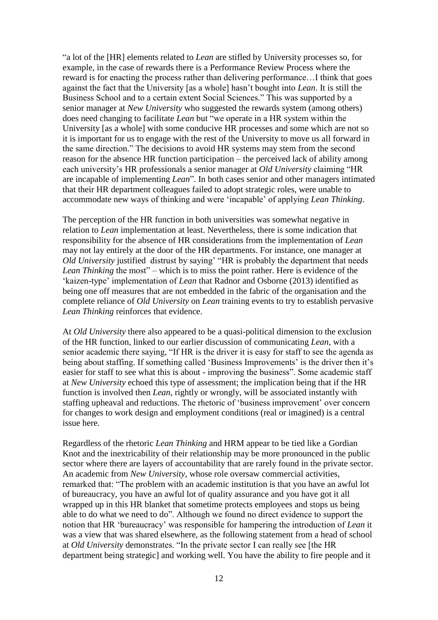―a lot of the [HR] elements related to *Lean* are stifled by University processes so, for example, in the case of rewards there is a Performance Review Process where the reward is for enacting the process rather than delivering performance…I think that goes against the fact that the University [as a whole] hasn't bought into *Lean*. It is still the Business School and to a certain extent Social Sciences." This was supported by a senior manager at *New University* who suggested the rewards system (among others) does need changing to facilitate *Lean* but "we operate in a HR system within the University [as a whole] with some conducive HR processes and some which are not so it is important for us to engage with the rest of the University to move us all forward in the same direction." The decisions to avoid HR systems may stem from the second reason for the absence HR function participation – the perceived lack of ability among each university's HR professionals a senior manager at *Old University* claiming "HR are incapable of implementing *Lean*". In both cases senior and other managers intimated that their HR department colleagues failed to adopt strategic roles, were unable to accommodate new ways of thinking and were ‗incapable' of applying *Lean Thinking*.

The perception of the HR function in both universities was somewhat negative in relation to *Lean* implementation at least. Nevertheless, there is some indication that responsibility for the absence of HR considerations from the implementation of *Lean*  may not lay entirely at the door of the HR departments. For instance, one manager at *Old University* justified distrust by saying' "HR is probably the department that needs *Lean Thinking* the most" – which is to miss the point rather. Here is evidence of the ‗kaizen-type' implementation of *Lean* that Radnor and Osborne (2013) identified as being one off measures that are not embedded in the fabric of the organisation and the complete reliance of *Old University* on *Lean* training events to try to establish pervasive *Lean Thinking* reinforces that evidence.

At *Old University* there also appeared to be a quasi-political dimension to the exclusion of the HR function, linked to our earlier discussion of communicating *Lean*, with a senior academic there saying, "If HR is the driver it is easy for staff to see the agenda as being about staffing. If something called 'Business Improvements' is the driver then it's easier for staff to see what this is about - improving the business". Some academic staff at *New University* echoed this type of assessment; the implication being that if the HR function is involved then *Lean*, rightly or wrongly, will be associated instantly with staffing upheaval and reductions. The rhetoric of 'business improvement' over concern for changes to work design and employment conditions (real or imagined) is a central issue here.

Regardless of the rhetoric *Lean Thinking* and HRM appear to be tied like a Gordian Knot and the inextricability of their relationship may be more pronounced in the public sector where there are layers of accountability that are rarely found in the private sector. An academic from *New University*, whose role oversaw commercial activities, remarked that: "The problem with an academic institution is that you have an awful lot of bureaucracy, you have an awful lot of quality assurance and you have got it all wrapped up in this HR blanket that sometime protects employees and stops us being able to do what we need to do". Although we found no direct evidence to support the notion that HR ‗bureaucracy' was responsible for hampering the introduction of *Lean* it was a view that was shared elsewhere, as the following statement from a head of school at *Old University* demonstrates. "In the private sector I can really see [the HR department being strategic] and working well. You have the ability to fire people and it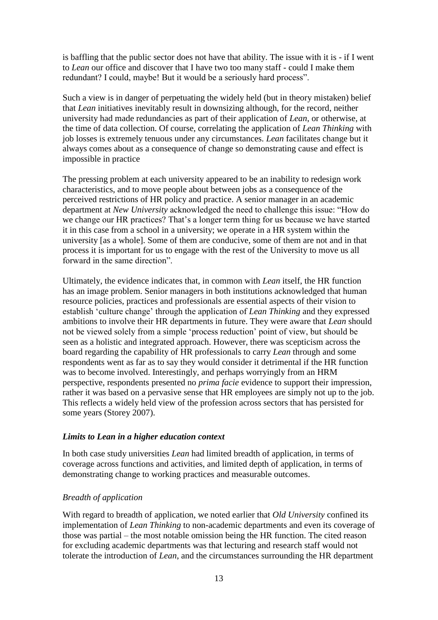is baffling that the public sector does not have that ability. The issue with it is - if I went to *Lean* our office and discover that I have two too many staff - could I make them redundant? I could, maybe! But it would be a seriously hard process".

Such a view is in danger of perpetuating the widely held (but in theory mistaken) belief that *Lean* initiatives inevitably result in downsizing although, for the record, neither university had made redundancies as part of their application of *Lean*, or otherwise, at the time of data collection. Of course, correlating the application of *Lean Thinking* with job losses is extremely tenuous under any circumstances. *Lean* facilitates change but it always comes about as a consequence of change so demonstrating cause and effect is impossible in practice

The pressing problem at each university appeared to be an inability to redesign work characteristics, and to move people about between jobs as a consequence of the perceived restrictions of HR policy and practice. A senior manager in an academic department at *New University* acknowledged the need to challenge this issue: "How do we change our HR practices? That's a longer term thing for us because we have started it in this case from a school in a university; we operate in a HR system within the university [as a whole]. Some of them are conducive, some of them are not and in that process it is important for us to engage with the rest of the University to move us all forward in the same direction".

Ultimately, the evidence indicates that, in common with *Lean* itself, the HR function has an image problem. Senior managers in both institutions acknowledged that human resource policies, practices and professionals are essential aspects of their vision to establish ‗culture change' through the application of *Lean Thinking* and they expressed ambitions to involve their HR departments in future. They were aware that *Lean* should not be viewed solely from a simple ‗process reduction' point of view, but should be seen as a holistic and integrated approach. However, there was scepticism across the board regarding the capability of HR professionals to carry *Lean* through and some respondents went as far as to say they would consider it detrimental if the HR function was to become involved. Interestingly, and perhaps worryingly from an HRM perspective, respondents presented no *prima facie* evidence to support their impression, rather it was based on a pervasive sense that HR employees are simply not up to the job. This reflects a widely held view of the profession across sectors that has persisted for some years (Storey 2007).

## *Limits to Lean in a higher education context*

In both case study universities *Lean* had limited breadth of application, in terms of coverage across functions and activities, and limited depth of application, in terms of demonstrating change to working practices and measurable outcomes.

## *Breadth of application*

With regard to breadth of application, we noted earlier that *Old University* confined its implementation of *Lean Thinking* to non-academic departments and even its coverage of those was partial – the most notable omission being the HR function. The cited reason for excluding academic departments was that lecturing and research staff would not tolerate the introduction of *Lean*, and the circumstances surrounding the HR department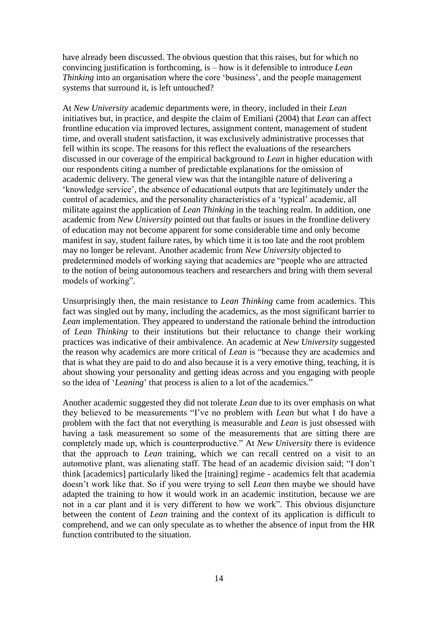have already been discussed. The obvious question that this raises, but for which no convincing justification is forthcoming, is – how is it defensible to introduce *Lean Thinking* into an organisation where the core 'business', and the people management systems that surround it, is left untouched?

At *New University* academic departments were, in theory, included in their *Lean*  initiatives but, in practice, and despite the claim of Emiliani (2004) that *Lean* can affect frontline education via improved lectures, assignment content, management of student time, and overall student satisfaction, it was exclusively administrative processes that fell within its scope. The reasons for this reflect the evaluations of the researchers discussed in our coverage of the empirical background to *Lean* in higher education with our respondents citing a number of predictable explanations for the omission of academic delivery. The general view was that the intangible nature of delivering a ‗knowledge service', the absence of educational outputs that are legitimately under the control of academics, and the personality characteristics of a 'typical' academic, all militate against the application of *Lean Thinking* in the teaching realm. In addition, one academic from *New University* pointed out that faults or issues in the frontline delivery of education may not become apparent for some considerable time and only become manifest in say, student failure rates, by which time it is too late and the root problem may no longer be relevant. Another academic from *New University* objected to predetermined models of working saying that academics are "people who are attracted to the notion of being autonomous teachers and researchers and bring with them several models of working".

Unsurprisingly then, the main resistance to *Lean Thinking* came from academics. This fact was singled out by many, including the academics, as the most significant barrier to Lean implementation. They appeared to understand the rationale behind the introduction of *Lean Thinking* to their institutions but their reluctance to change their working practices was indicative of their ambivalence. An academic at *New University* suggested the reason why academics are more critical of *Lean* is "because they are academics and that is what they are paid to do and also because it is a very emotive thing, teaching, it is about showing your personality and getting ideas across and you engaging with people so the idea of '*Leaning*' that process is alien to a lot of the academics."

Another academic suggested they did not tolerate *Lean* due to its over emphasis on what they believed to be measurements "I've no problem with *Lean* but what I do have a problem with the fact that not everything is measurable and *Lean* is just obsessed with having a task measurement so some of the measurements that are sitting there are completely made up, which is counterproductive." At *New University* there is evidence that the approach to *Lean* training, which we can recall centred on a visit to an automotive plant, was alienating staff. The head of an academic division said; "I don't think [academics] particularly liked the [training] regime - academics felt that academia doesn't work like that. So if you were trying to sell *Lean* then maybe we should have adapted the training to how it would work in an academic institution, because we are not in a car plant and it is very different to how we work". This obvious disjuncture between the content of *Lean* training and the context of its application is difficult to comprehend, and we can only speculate as to whether the absence of input from the HR function contributed to the situation.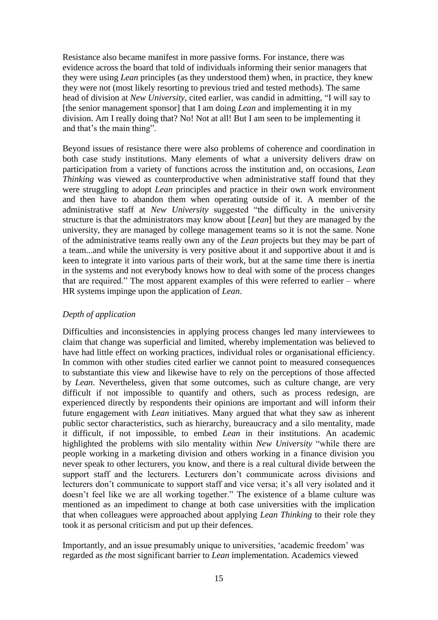Resistance also became manifest in more passive forms. For instance, there was evidence across the board that told of individuals informing their senior managers that they were using *Lean* principles (as they understood them) when, in practice, they knew they were not (most likely resorting to previous tried and tested methods). The same head of division at *New University*, cited earlier, was candid in admitting, "I will say to [the senior management sponsor] that I am doing *Lean* and implementing it in my division. Am I really doing that? No! Not at all! But I am seen to be implementing it and that's the main thing".

Beyond issues of resistance there were also problems of coherence and coordination in both case study institutions. Many elements of what a university delivers draw on participation from a variety of functions across the institution and, on occasions, *Lean Thinking* was viewed as counterproductive when administrative staff found that they were struggling to adopt *Lean* principles and practice in their own work environment and then have to abandon them when operating outside of it. A member of the administrative staff at *New University* suggested "the difficulty in the university structure is that the administrators may know about [*Lean*] but they are managed by the university, they are managed by college management teams so it is not the same. None of the administrative teams really own any of the *Lean* projects but they may be part of a team...and while the university is very positive about it and supportive about it and is keen to integrate it into various parts of their work, but at the same time there is inertia in the systems and not everybody knows how to deal with some of the process changes that are required." The most apparent examples of this were referred to earlier – where HR systems impinge upon the application of *Lean*.

## *Depth of application*

Difficulties and inconsistencies in applying process changes led many interviewees to claim that change was superficial and limited, whereby implementation was believed to have had little effect on working practices, individual roles or organisational efficiency. In common with other studies cited earlier we cannot point to measured consequences to substantiate this view and likewise have to rely on the perceptions of those affected by *Lean*. Nevertheless, given that some outcomes, such as culture change, are very difficult if not impossible to quantify and others, such as process redesign, are experienced directly by respondents their opinions are important and will inform their future engagement with *Lean* initiatives. Many argued that what they saw as inherent public sector characteristics, such as hierarchy, bureaucracy and a silo mentality, made it difficult, if not impossible, to embed *Lean* in their institutions. An academic highlighted the problems with silo mentality within *New University* "while there are people working in a marketing division and others working in a finance division you never speak to other lecturers, you know, and there is a real cultural divide between the support staff and the lecturers. Lecturers don't communicate across divisions and lecturers don't communicate to support staff and vice versa; it's all very isolated and it doesn't feel like we are all working together." The existence of a blame culture was mentioned as an impediment to change at both case universities with the implication that when colleagues were approached about applying *Lean Thinking* to their role they took it as personal criticism and put up their defences.

Importantly, and an issue presumably unique to universities, 'academic freedom' was regarded as *the* most significant barrier to *Lean* implementation. Academics viewed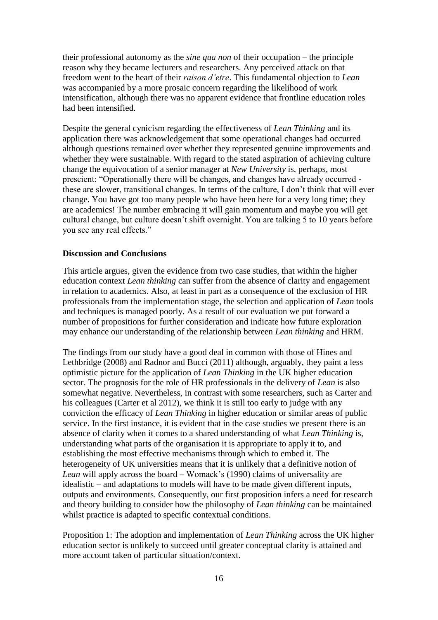their professional autonomy as the *sine qua non* of their occupation – the principle reason why they became lecturers and researchers. Any perceived attack on that freedom went to the heart of their *raison d'etre*. This fundamental objection to *Lean*  was accompanied by a more prosaic concern regarding the likelihood of work intensification, although there was no apparent evidence that frontline education roles had been intensified.

Despite the general cynicism regarding the effectiveness of *Lean Thinking* and its application there was acknowledgement that some operational changes had occurred although questions remained over whether they represented genuine improvements and whether they were sustainable. With regard to the stated aspiration of achieving culture change the equivocation of a senior manager at *New University* is, perhaps, most prescient: "Operationally there will be changes, and changes have already occurred these are slower, transitional changes. In terms of the culture, I don't think that will ever change. You have got too many people who have been here for a very long time; they are academics! The number embracing it will gain momentum and maybe you will get cultural change, but culture doesn't shift overnight. You are talking 5 to 10 years before you see any real effects."

## **Discussion and Conclusions**

This article argues, given the evidence from two case studies, that within the higher education context *Lean thinking* can suffer from the absence of clarity and engagement in relation to academics. Also, at least in part as a consequence of the exclusion of HR professionals from the implementation stage, the selection and application of *Lean* tools and techniques is managed poorly. As a result of our evaluation we put forward a number of propositions for further consideration and indicate how future exploration may enhance our understanding of the relationship between *Lean thinking* and HRM.

The findings from our study have a good deal in common with those of Hines and Lethbridge (2008) and Radnor and Bucci (2011) although, arguably, they paint a less optimistic picture for the application of *Lean Thinking* in the UK higher education sector. The prognosis for the role of HR professionals in the delivery of *Lean* is also somewhat negative. Nevertheless, in contrast with some researchers, such as Carter and his colleagues (Carter et al 2012), we think it is still too early to judge with any conviction the efficacy of *Lean Thinking* in higher education or similar areas of public service. In the first instance, it is evident that in the case studies we present there is an absence of clarity when it comes to a shared understanding of what *Lean Thinking* is, understanding what parts of the organisation it is appropriate to apply it to, and establishing the most effective mechanisms through which to embed it. The heterogeneity of UK universities means that it is unlikely that a definitive notion of *Lean* will apply across the board – Womack's (1990) claims of universality are idealistic – and adaptations to models will have to be made given different inputs, outputs and environments. Consequently, our first proposition infers a need for research and theory building to consider how the philosophy of *Lean thinking* can be maintained whilst practice is adapted to specific contextual conditions.

Proposition 1: The adoption and implementation of *Lean Thinking* across the UK higher education sector is unlikely to succeed until greater conceptual clarity is attained and more account taken of particular situation/context.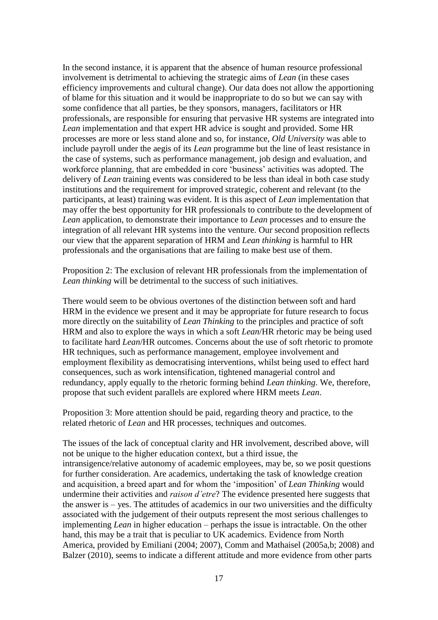In the second instance, it is apparent that the absence of human resource professional involvement is detrimental to achieving the strategic aims of *Lean* (in these cases efficiency improvements and cultural change). Our data does not allow the apportioning of blame for this situation and it would be inappropriate to do so but we can say with some confidence that all parties, be they sponsors, managers, facilitators or HR professionals, are responsible for ensuring that pervasive HR systems are integrated into *Lean* implementation and that expert HR advice is sought and provided. Some HR processes are more or less stand alone and so, for instance, *Old University* was able to include payroll under the aegis of its *Lean* programme but the line of least resistance in the case of systems, such as performance management, job design and evaluation, and workforce planning, that are embedded in core 'business' activities was adopted. The delivery of *Lean* training events was considered to be less than ideal in both case study institutions and the requirement for improved strategic, coherent and relevant (to the participants, at least) training was evident. It is this aspect of *Lean* implementation that may offer the best opportunity for HR professionals to contribute to the development of *Lean* application, to demonstrate their importance to *Lean* processes and to ensure the integration of all relevant HR systems into the venture. Our second proposition reflects our view that the apparent separation of HRM and *Lean thinking* is harmful to HR professionals and the organisations that are failing to make best use of them.

Proposition 2: The exclusion of relevant HR professionals from the implementation of *Lean thinking* will be detrimental to the success of such initiatives.

There would seem to be obvious overtones of the distinction between soft and hard HRM in the evidence we present and it may be appropriate for future research to focus more directly on the suitability of *Lean Thinking* to the principles and practice of soft HRM and also to explore the ways in which a soft *Lean*/HR rhetoric may be being used to facilitate hard *Lean*/HR outcomes. Concerns about the use of soft rhetoric to promote HR techniques, such as performance management, employee involvement and employment flexibility as democratising interventions, whilst being used to effect hard consequences, such as work intensification, tightened managerial control and redundancy, apply equally to the rhetoric forming behind *Lean thinking*. We, therefore, propose that such evident parallels are explored where HRM meets *Lean*.

Proposition 3: More attention should be paid, regarding theory and practice, to the related rhetoric of *Lean* and HR processes, techniques and outcomes.

The issues of the lack of conceptual clarity and HR involvement, described above, will not be unique to the higher education context, but a third issue, the intransigence/relative autonomy of academic employees, may be, so we posit questions for further consideration. Are academics, undertaking the task of knowledge creation and acquisition, a breed apart and for whom the ‗imposition' of *Lean Thinking* would undermine their activities and *raison d'etre*? The evidence presented here suggests that the answer is – yes. The attitudes of academics in our two universities and the difficulty associated with the judgement of their outputs represent the most serious challenges to implementing *Lean* in higher education – perhaps the issue is intractable. On the other hand, this may be a trait that is peculiar to UK academics. Evidence from North America, provided by Emiliani (2004; 2007), Comm and Mathaisel (2005a,b; 2008) and Balzer (2010), seems to indicate a different attitude and more evidence from other parts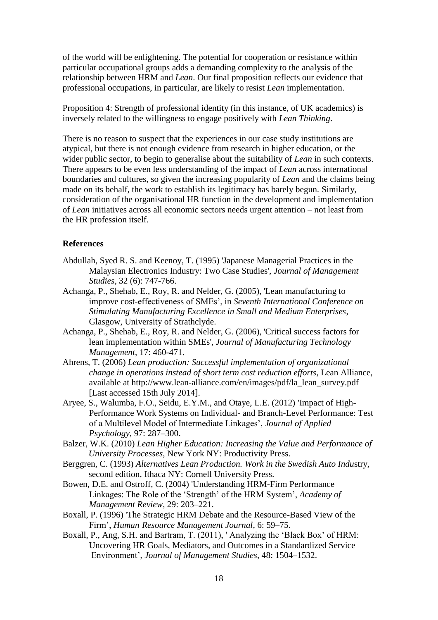of the world will be enlightening. The potential for cooperation or resistance within particular occupational groups adds a demanding complexity to the analysis of the relationship between HRM and *Lean*. Our final proposition reflects our evidence that professional occupations, in particular, are likely to resist *Lean* implementation.

Proposition 4: Strength of professional identity (in this instance, of UK academics) is inversely related to the willingness to engage positively with *Lean Thinking*.

There is no reason to suspect that the experiences in our case study institutions are atypical, but there is not enough evidence from research in higher education, or the wider public sector, to begin to generalise about the suitability of *Lean* in such contexts. There appears to be even less understanding of the impact of *Lean* across international boundaries and cultures, so given the increasing popularity of *Lean* and the claims being made on its behalf, the work to establish its legitimacy has barely begun. Similarly, consideration of the organisational HR function in the development and implementation of *Lean* initiatives across all economic sectors needs urgent attention – not least from the HR profession itself.

## **References**

- Abdullah, Syed R. S. and Keenoy, T. (1995) 'Japanese Managerial Practices in the Malaysian Electronics Industry: Two Case Studies', *Journal of Management Studies,* 32 (6): 747-766.
- Achanga, P., Shehab, E., Roy, R. and Nelder, G. (2005), 'Lean manufacturing to improve cost-effectiveness of SMEs', in *Seventh International Conference on Stimulating Manufacturing Excellence in Small and Medium Enterprises*, Glasgow, University of Strathclyde.
- Achanga, P., Shehab, E., Roy, R. and Nelder, G. (2006), 'Critical success factors for lean implementation within SMEs', *Journal of Manufacturing Technology Management*, 17: 460-471.
- Ahrens, T. (2006) *Lean production: Successful implementation of organizational change in operations instead of short term cost reduction efforts*, Lean Alliance, available at http://www.lean-alliance.com/en/images/pdf/la\_lean\_survey.pdf [Last accessed 15th July 2014].
- Aryee, S., Walumba, F.O., Seidu, E.Y.M., and Otaye, L.E. (2012) 'Impact of High-Performance Work Systems on Individual- and Branch-Level Performance: Test of a Multilevel Model of Intermediate Linkages', *Journal of Applied Psychology*, 97: 287–300.
- Balzer, W.K. (2010) *Lean Higher Education: Increasing the Value and Performance of University Processes*, New York NY: Productivity Press.
- Berggren, C. (1993) *Alternatives Lean Production. Work in the Swedish Auto Indu*stry, second edition, Ithaca NY: Cornell University Press.
- Bowen, D.E. and Ostroff, C. (2004) 'Understanding HRM-Firm Performance Linkages: The Role of the ‗Strength' of the HRM System', *Academy of Management Review*, 29: 203–221.
- Boxall, P. (1996) 'The Strategic HRM Debate and the Resource-Based View of the Firm', *Human Resource Management Journal*, 6: 59–75.
- Boxall, P., Ang, S.H. and Bartram, T. (2011), 'Analyzing the 'Black Box' of HRM: Uncovering HR Goals, Mediators, and Outcomes in a Standardized Service Environment', *Journal of Management Studies*, 48: 1504–1532.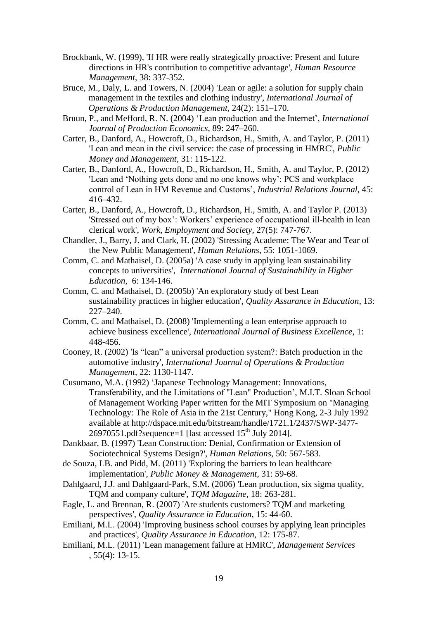- Brockbank, W. (1999), 'If HR were really strategically proactive: Present and future directions in HR's contribution to competitive advantage', *Human Resource Management*, 38: 337-352.
- Bruce, M., Daly, L. and Towers, N. (2004) 'Lean or agile: a solution for supply chain management in the textiles and clothing industry', *International Journal of Operations & Production Management*, 24(2): 151–170.
- Bruun, P., and Mefford, R. N. (2004) ‗Lean production and the Internet', *International Journal of Production Economics*, 89: 247–260.
- Carter, B., Danford, A., Howcroft, D., Richardson, H., Smith, A. and Taylor, P. (2011) 'Lean and mean in the civil service: the case of processing in HMRC', *Public Money and Management*, 31: 115-122.
- Carter, B., Danford, A., Howcroft, D., Richardson, H., Smith, A. and Taylor, P. (2012) 'Lean and 'Nothing gets done and no one knows why': PCS and workplace control of Lean in HM Revenue and Customs', *Industrial Relations Journal*, 45: 416–432.
- Carter, B., Danford, A., Howcroft, D., Richardson, H., Smith, A. and Taylor P. (2013) 'Stressed out of my box': Workers' experience of occupational ill-health in lean clerical work', *Work, Employment and Society*, 27(5): 747-767.
- Chandler, J., Barry, J. and Clark, H. (2002) 'Stressing Academe: The Wear and Tear of the New Public Management', *Human Relations*, 55: 1051-1069.
- Comm, C. and Mathaisel, D. (2005a) 'A case study in applying lean sustainability concepts to universities', *International Journal of Sustainability in Higher Education*, 6: 134-146.
- Comm, C. and Mathaisel, D. (2005b) 'An exploratory study of best Lean sustainability practices in higher education', *Quality Assurance in Education*, 13: 227–240.
- Comm, C. and Mathaisel, D. (2008) 'Implementing a lean enterprise approach to achieve business excellence', *International Journal of Business Excellence*, 1: 448-456.
- Cooney, R. (2002) 'Is "lean" a universal production system?: Batch production in the automotive industry', *International Journal of Operations & Production Management*, 22: 1130-1147.
- Cusumano, M.A. (1992) ‗Japanese Technology Management: Innovations, Transferability, and the Limitations of "Lean" Production', M.I.T. Sloan School of Management Working Paper written for the MIT Symposium on "Managing Technology: The Role of Asia in the 21st Century," Hong Kong, 2-3 July 1992 available at http://dspace.mit.edu/bitstream/handle/1721.1/2437/SWP-3477-  $26970551$ .pdf?sequence=1 [last accessed  $15<sup>th</sup>$  July 2014].
- Dankbaar, B. (1997) 'Lean Construction: Denial, Confirmation or Extension of Sociotechnical Systems Design?', *Human Relations*, 50: 567-583.
- de Souza, LB. and Pidd, M. (2011) 'Exploring the barriers to lean healthcare implementation', *Public Money & Management*, 31: 59-68.
- Dahlgaard, J.J. and Dahlgaard-Park, S.M. (2006) 'Lean production, six sigma quality, TQM and company culture', *TQM Magazine*, 18: 263-281.
- Eagle, L. and Brennan, R. (2007) 'Are students customers? TQM and marketing perspectives', *Quality Assurance in Education*, 15: 44-60.
- Emiliani, M.L. (2004) 'Improving business school courses by applying lean principles and practices', *Quality Assurance in Education*, 12: 175-87.
- Emiliani, M.L. (2011) 'Lean management failure at HMRC', *Management Services*  , 55(4): 13-15.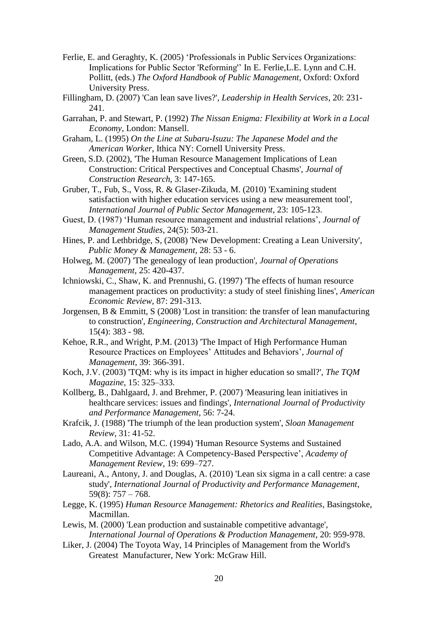- Ferlie, E. and Geraghty, K. (2005) 'Professionals in Public Services Organizations: Implications for Public Sector 'Reforming'' In E. Ferlie,L.E. Lynn and C.H. Pollitt, (eds.) *The Oxford Handbook of Public Management,* Oxford: Oxford University Press.
- Fillingham, D. (2007) 'Can lean save lives?', *Leadership in Health Services*, 20: 231- 241.
- Garrahan, P. and Stewart, P. (1992) *The Nissan Enigma: Flexibility at Work in a Local Economy*, London: Mansell.
- Graham, L. (1995) *On the Line at Subaru-Isuzu: The Japanese Model and the American Worker*, Ithica NY: Cornell University Press.
- Green, S.D. (2002), 'The Human Resource Management Implications of Lean Construction: Critical Perspectives and Conceptual Chasms', *Journal of Construction Research*, 3: 147-165.
- Gruber, T., Fub, S., Voss, R. & Glaser-Zikuda, M. (2010) 'Examining student satisfaction with higher education services using a new measurement tool', *International Journal of Public Sector Management*, 23: 105-123.
- Guest, D. (1987) ‗Human resource management and industrial relations', *Journal of Management Studies*, 24(5): 503-21.
- Hines, P. and Lethbridge, S, (2008) 'New Development: Creating a Lean University', *Public Money & Management*, 28: 53 - 6.
- Holweg, M. (2007) 'The genealogy of lean production', *Journal of Operations Management*, 25: 420-437.
- Ichniowski, C., Shaw, K. and Prennushi, G. (1997) 'The effects of human resource management practices on productivity: a study of steel finishing lines', *American Economic Review*, 87: 291-313.
- Jorgensen, B & Emmitt, S (2008) 'Lost in transition: the transfer of lean manufacturing to construction', *Engineering, Construction and Architectural Management*, 15(4): 383 - 98.
- Kehoe, R.R., and Wright, P.M. (2013) 'The Impact of High Performance Human Resource Practices on Employees' Attitudes and Behaviors', *Journal of Management*, 39: 366-391.
- Koch, J.V. (2003) 'TQM: why is its impact in higher education so small?', *The TQM Magazine*, 15: 325–333.
- Kollberg, B., Dahlgaard, J. and Brehmer, P. (2007) 'Measuring lean initiatives in healthcare services: issues and findings', *International Journal of Productivity and Performance Management*, 56: 7-24.
- Krafcik, J. (1988) 'The triumph of the lean production system', *Sloan Management Review*, 31: 41-52.
- Lado, A.A. and Wilson, M.C. (1994) 'Human Resource Systems and Sustained Competitive Advantage: A Competency-Based Perspective', *Academy of Management Review*, 19: 699–727.
- Laureani, A., Antony, J. and Douglas, A. (2010) 'Lean six sigma in a call centre: a case study', *International Journal of Productivity and Performance Management*, 59(8): 757 – 768.
- Legge, K. (1995) *Human Resource Management: Rhetorics and Realities*, Basingstoke, Macmillan.
- Lewis, M. (2000) 'Lean production and sustainable competitive advantage', *International Journal of Operations & Production Management*, 20: 959-978.
- Liker, J. (2004) The Toyota Way, 14 Principles of Management from the World's Greatest Manufacturer, New York: McGraw Hill.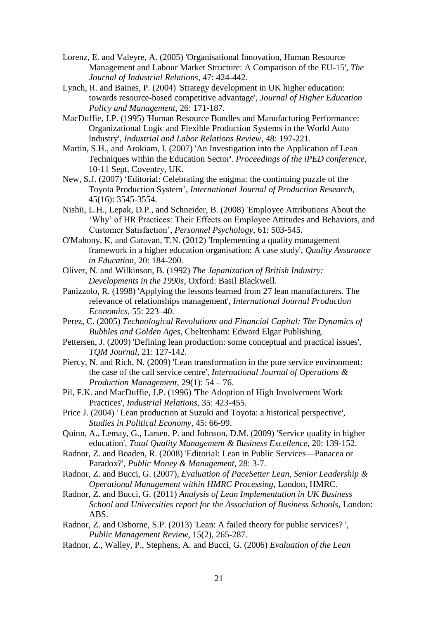- Lorenz, E. and Valeyre, A. (2005) 'Organisational Innovation, Human Resource Management and Labour Market Structure: A Comparison of the EU-15', *The Journal of Industrial Relations*, 47: 424-442.
- Lynch, R. and Baines, P. (2004) 'Strategy development in UK higher education: towards resource-based competitive advantage', *Journal of Higher Education Policy and Management*, 26: 171-187.
- MacDuffie, J.P. (1995) 'Human Resource Bundles and Manufacturing Performance: Organizational Logic and Flexible Production Systems in the World Auto Industry'*, Industrial and Labor Relations Review*, 48: 197-221.
- Martin, S.H., and Arokiam, I. (2007) 'An Investigation into the Application of Lean Techniques within the Education Sector'. *Proceedings of the iPED conference*, 10-11 Sept, Coventry, UK.
- New, S.J. (2007) ‗Editorial: Celebrating the enigma: the continuing puzzle of the Toyota Production System', *International Journal of Production Research,*  45(16): 3545-3554.
- Nishii, L.H., Lepak, D.P., and Schneider, B. (2008) 'Employee Attributions About the ‗Why' of HR Practices: Their Effects on Employee Attitudes and Behaviors, and Customer Satisfaction', *Personnel Psychology*, 61: 503-545.
- O'Mahony, K, and Garavan, T.N. (2012) 'Implementing a quality management framework in a higher education organisation: A case study', *Quality Assurance in Education*, 20: 184-200.
- Oliver, N. and Wilkinson, B. (1992) *The Japanization of British Industry: Developments in the 1990s*, Oxford: Basil Blackwell.
- Panizzolo, R. (1998) 'Applying the lessons learned from 27 lean manufacturers. The relevance of relationships management', *International Journal Production Economics*, 55: 223–40.

Perez, C. (2005) *Technological Revolutions and Financial Capital: The Dynamics of Bubbles and Golden Ages*, Cheltenham: Edward Elgar Publishing.

Pettersen, J. (2009) 'Defining lean production: some conceptual and practical issues', *TQM Journal*, 21: 127-142.

Piercy, N. and Rich, N. (2009) 'Lean transformation in the pure service environment: the case of the call service centre', *International Journal of Operations & Production Management*, 29(1): 54 – 76.

- Pil, F.K. and MacDuffie, J.P. (1996) 'The Adoption of High Involvement Work Practices', *Industrial Relations*, 35: 423-455.
- Price J. (2004) ' Lean production at Suzuki and Toyota: a historical perspective', *Studies in Political Economy*, 45: 66-99.

Quinn, A., Lemay, G., Larsen, P. and Johnson, D.M. (2009) 'Service quality in higher education', *Total Quality Management & Business Excellence*, 20: 139-152.

Radnor, Z. and Boaden, R. (2008) 'Editorial: Lean in Public Services—Panacea or Paradox?', *Public Money & Management*, 28: 3-7.

Radnor, Z. and Bucci, G. (2007), *Evaluation of PaceSetter Lean, Senior Leadership & Operational Management within HMRC Processing*, London, HMRC.

- Radnor, Z. and Bucci, G. (2011) *Analysis of Lean Implementation in UK Business School and Universities report for the Association of Business Schools*, London: ABS.
- Radnor, Z. and Osborne, S.P. (2013) 'Lean: A failed theory for public services? ', *Public Management Review*, 15(2), 265-287.
- Radnor, Z., Walley, P., Stephens, A. and Bucci, G. (2006) *Evaluation of the Lean*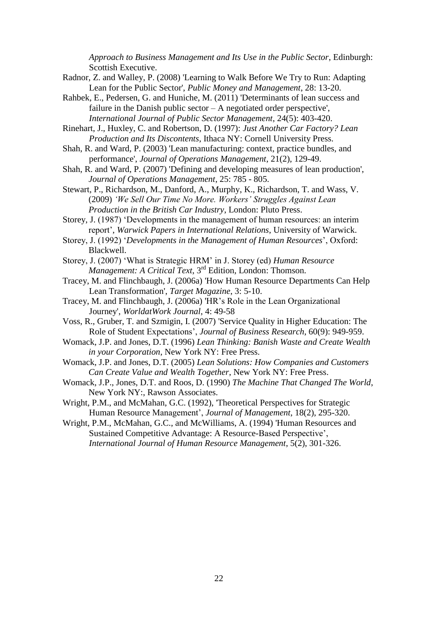*Approach to Business Management and Its Use in the Public Sector*, Edinburgh: Scottish Executive.

- Radnor, Z. and Walley, P. (2008) 'Learning to Walk Before We Try to Run: Adapting Lean for the Public Sector', *Public Money and Management*, 28: 13-20.
- Rahbek, E., Pedersen, G. and Huniche, M. (2011) 'Determinants of lean success and failure in the Danish public sector – A negotiated order perspective', *International Journal of Public Sector Management*, 24(5): 403-420.

Rinehart, J., Huxley, C. and Robertson, D. (1997): *Just Another Car Factory? Lean Production and Its Discontents*, Ithaca NY: Cornell University Press.

- Shah, R. and Ward, P. (2003) 'Lean manufacturing: context, practice bundles, and performance', *Journal of Operations Management*, 21(2), 129-49.
- Shah, R. and Ward, P. (2007) 'Defining and developing measures of lean production', *Journal of Operations Management*, 25: 785 - 805.

Stewart, P., Richardson, M., Danford, A., Murphy, K., Richardson, T. and Wass, V. (2009) *'We Sell Our Time No More. Workers' Struggles Against Lean Production in the British Car Industry*, London: Pluto Press.

Storey, J. (1987) ‗Developments in the management of human resources: an interim report', *Warwick Papers in International Relations*, University of Warwick.

- Storey, J. (1992) ‗*Developments in the Management of Human Resources*', Oxford: Blackwell.
- Storey, J. (2007) ‗What is Strategic HRM' in J. Storey (ed) *Human Resource Management: A Critical Text*, 3<sup>rd</sup> Edition, London: Thomson.

Tracey, M. and Flinchbaugh, J. (2006a) 'How Human Resource Departments Can Help Lean Transformation', *Target Magazine*, 3: 5-10.

Tracey, M. and Flinchbaugh, J. (2006a) 'HR's Role in the Lean Organizational Journey', *WorldatWork Journal*, 4: 49-58

Voss, R., Gruber, T. and Szmigin, I. (2007) 'Service Quality in Higher Education: The Role of Student Expectations', *Journal of Business Research*, 60(9): 949-959.

- Womack, J.P. and Jones, D.T. (1996) *Lean Thinking: Banish Waste and Create Wealth in your Corporation*, New York NY: Free Press.
- Womack, J.P. and Jones, D.T. (2005) *Lean Solutions: How Companies and Customers Can Create Value and Wealth Together*, New York NY: Free Press.

Womack, J.P., Jones, D.T. and Roos, D. (1990) *The Machine That Changed The World*, New York NY:, Rawson Associates.

Wright, P.M., and McMahan, G.C. (1992), 'Theoretical Perspectives for Strategic Human Resource Management', *Journal of Management*, 18(2), 295-320.

Wright, P.M., McMahan, G.C., and McWilliams, A. (1994) 'Human Resources and Sustained Competitive Advantage: A Resource-Based Perspective', *International Journal of Human Resource Management*, 5(2), 301-326.